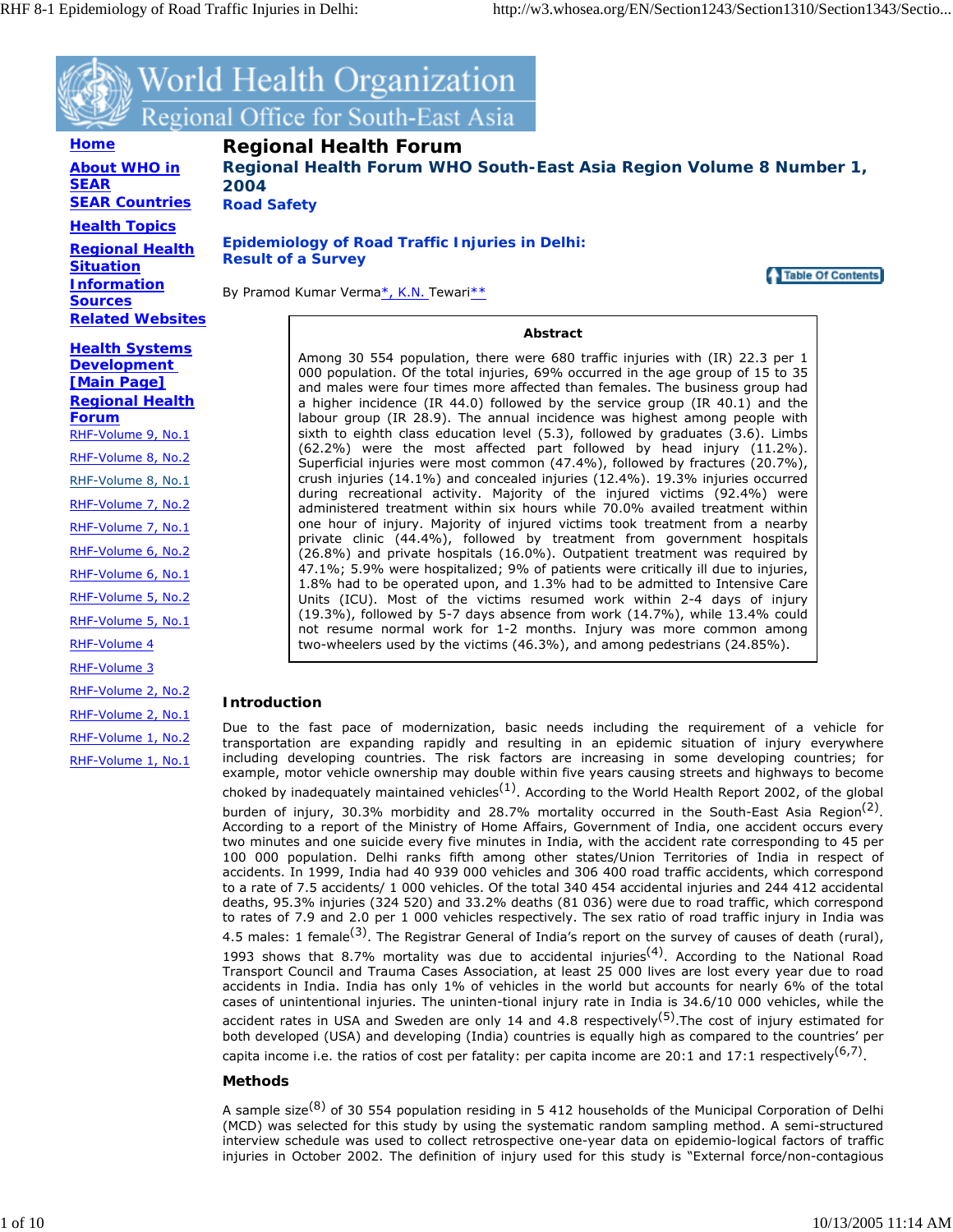

World Health Organization Regional Office for South-East Asia

**Home About WHO in SEAR SEAR Countries Health Topics**

**Regional Health Situation Information Sources Related Websites** **Regional Health Forum**

**Regional Health Forum WHO South-East Asia Region Volume 8 Number 1, 2004**

**Road Safety** 

**Epidemiology of Road Traffic Injuries in Delhi: Result of a Survey**

Table Of Contents

By Pramod Kumar Verma\*, K.N. Tewari\*\*

**Abstract**

Among 30 554 population, there were 680 traffic injuries with (IR) 22.3 per 1 000 population. Of the total injuries, 69% occurred in the age group of 15 to 35 and males were four times more affected than females. The business group had a higher incidence (IR 44.0) followed by the service group (IR 40.1) and the labour group (IR 28.9). The annual incidence was highest among people with sixth to eighth class education level (5.3), followed by graduates (3.6). Limbs (62.2%) were the most affected part followed by head injury (11.2%). Superficial injuries were most common (47.4%), followed by fractures (20.7%), crush injuries (14.1%) and concealed injuries (12.4%). 19.3% injuries occurred during recreational activity. Majority of the injured victims (92.4%) were administered treatment within six hours while 70.0% availed treatment within one hour of injury. Majority of injured victims took treatment from a nearby private clinic (44.4%), followed by treatment from government hospitals (26.8%) and private hospitals (16.0%). Outpatient treatment was required by 47.1%; 5.9% were hospitalized; 9% of patients were critically ill due to injuries, 1.8% had to be operated upon, and 1.3% had to be admitted to Intensive Care Units (ICU). Most of the victims resumed work within 2-4 days of injury (19.3%), followed by 5-7 days absence from work (14.7%), while 13.4% could not resume normal work for 1-2 months. Injury was more common among two-wheelers used by the victims (46.3%), and among pedestrians (24.85%).

# **Introduction**

Due to the fast pace of modernization, basic needs including the requirement of a vehicle for transportation are expanding rapidly and resulting in an epidemic situation of injury everywhere including developing countries. The risk factors are increasing in some developing countries; for example, motor vehicle ownership may double within five years causing streets and highways to become choked by inadequately maintained vehicles<sup>(1)</sup>. According to the World Health Report 2002, of the global burden of injury, 30.3% morbidity and 28.7% mortality occurred in the South-East Asia Region<sup>(2)</sup>. According to a report of the Ministry of Home Affairs, Government of India, one accident occurs every two minutes and one suicide every five minutes in India, with the accident rate corresponding to 45 per 100 000 population. Delhi ranks fifth among other states/Union Territories of India in respect of accidents. In 1999, India had 40 939 000 vehicles and 306 400 road traffic accidents, which correspond to a rate of 7.5 accidents/ 1 000 vehicles. Of the total 340 454 accidental injuries and 244 412 accidental deaths, 95.3% injuries (324 520) and 33.2% deaths (81 036) were due to road traffic, which correspond to rates of 7.9 and 2.0 per 1 000 vehicles respectively. The sex ratio of road traffic injury in India was 4.5 males: 1 female<sup>(3)</sup>. The Registrar General of India's report on the survey of causes of death (rural), 1993 shows that 8.7% mortality was due to accidental injuries<sup>(4)</sup>. According to the National Road Transport Council and Trauma Cases Association, at least 25 000 lives are lost every year due to road accidents in India. India has only 1% of vehicles in the world but accounts for nearly 6% of the total cases of unintentional injuries. The uninten-tional injury rate in India is 34.6/10 000 vehicles, while the accident rates in USA and Sweden are only 14 and 4.8 respectively<sup>(5)</sup>. The cost of injury estimated for both developed (USA) and developing (India) countries is equally high as compared to the countries' per capita income i.e. the ratios of cost per fatality: per capita income are 20:1 and 17:1 respectively<sup>(6,7)</sup>.

# **Methods**

A sample size<sup>(8)</sup> of 30 554 population residing in 5 412 households of the Municipal Corporation of Delhi (MCD) was selected for this study by using the systematic random sampling method. A semi-structured interview schedule was used to collect retrospective one-year data on epidemio-logical factors of traffic injuries in October 2002. The definition of injury used for this study is "External force/non-contagious

**Health Systems Development [Main Page] Regional Health Forum** RHF-Volume 9, No.1 RHF-Volume 8, No.2 RHF-Volume 8, No.1 RHF-Volume 7, No.2 RHF-Volume 7, No.1 RHF-Volume 6, No.2 RHF-Volume 6, No.1 RHF-Volume 5, No.2 RHF-Volume 5, No.1 RHF-Volume 4 RHF-Volume 3 RHF-Volume 2, No.2 RHF-Volume 2, No.1 RHF-Volume 1, No.2

RHF-Volume 1, No.1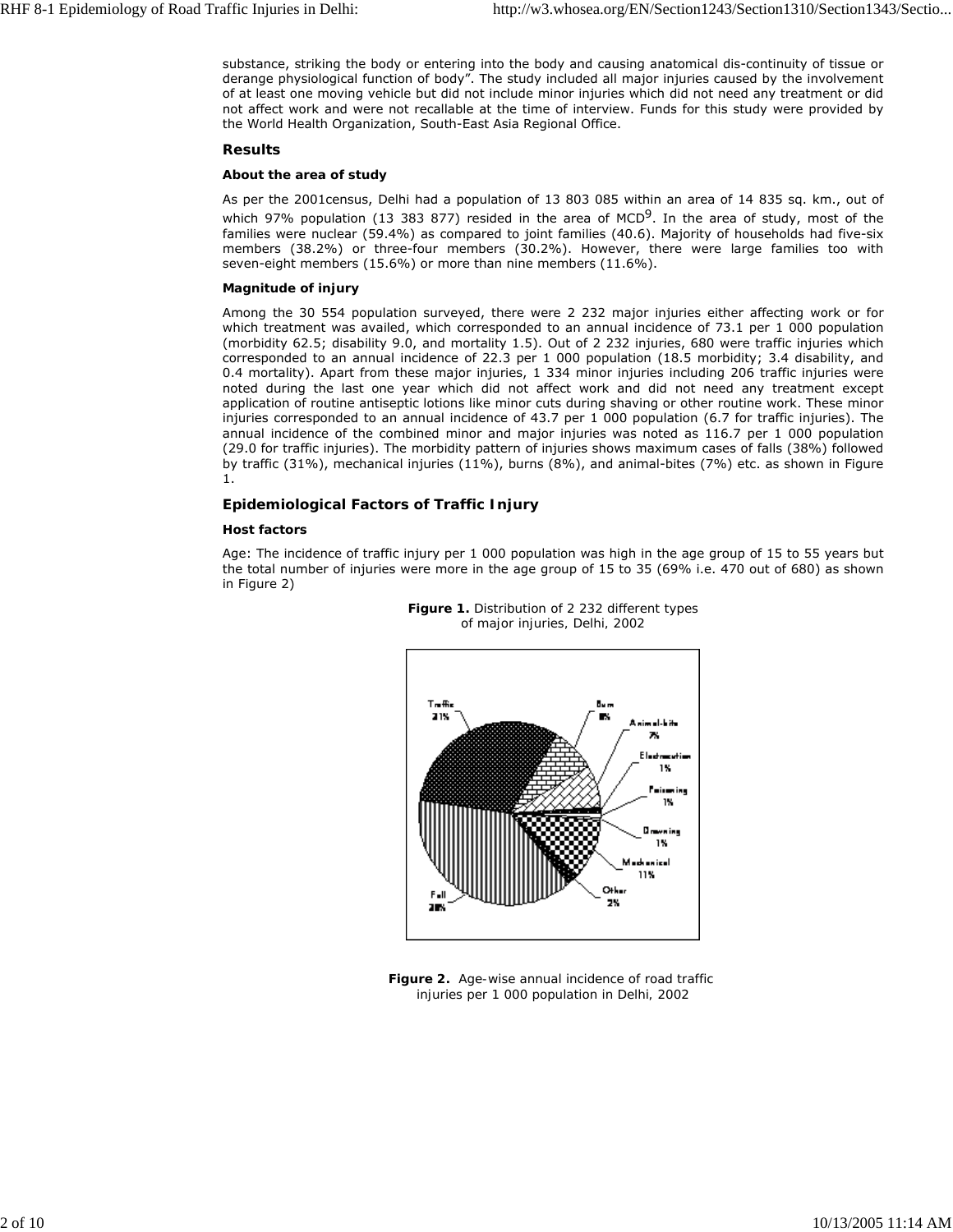substance, striking the body or entering into the body and causing anatomical dis-continuity of tissue or derange physiological function of body". The study included all major injuries caused by the involvement of at least one moving vehicle but did not include minor injuries which did not need any treatment or did not affect work and were not recallable at the time of interview. Funds for this study were provided by the World Health Organization, South-East Asia Regional Office.

#### **Results**

## **About the area of study**

As per the 2001census, Delhi had a population of 13 803 085 within an area of 14 835 sq. km., out of which 97% population (13 383 877) resided in the area of MCD<sup>9</sup>. In the area of study, most of the families were nuclear (59.4%) as compared to joint families (40.6). Majority of households had five-six members (38.2%) or three-four members (30.2%). However, there were large families too with seven-eight members (15.6%) or more than nine members (11.6%).

## **Magnitude of injury**

Among the 30 554 population surveyed, there were 2 232 major injuries either affecting work or for which treatment was availed, which corresponded to an annual incidence of 73.1 per 1 000 population (morbidity 62.5; disability 9.0, and mortality 1.5). Out of 2 232 injuries, 680 were traffic injuries which corresponded to an annual incidence of 22.3 per 1 000 population (18.5 morbidity; 3.4 disability, and 0.4 mortality). Apart from these major injuries, 1 334 minor injuries including 206 traffic injuries were noted during the last one year which did not affect work and did not need any treatment except application of routine antiseptic lotions like minor cuts during shaving or other routine work. These minor injuries corresponded to an annual incidence of 43.7 per 1 000 population (6.7 for traffic injuries). The annual incidence of the combined minor and major injuries was noted as 116.7 per 1 000 population (29.0 for traffic injuries). The morbidity pattern of injuries shows maximum cases of falls (38%) followed by traffic (31%), mechanical injuries (11%), burns (8%), and animal-bites (7%) etc. as shown in Figure 1.

# **Epidemiological Factors of Traffic Injury**

#### **Host factors**

Age: The incidence of traffic injury per 1 000 population was high in the age group of 15 to 55 years but the total number of injuries were more in the age group of 15 to 35 (69% i.e. 470 out of 680) as shown in Figure 2)



**Figure 1.** *Distribution of 2 232 different types of major injuries, Delhi, 2002*

**Figure 2.** *Age-wise annual incidence of road traffic injuries per 1 000 population in Delhi, 2002*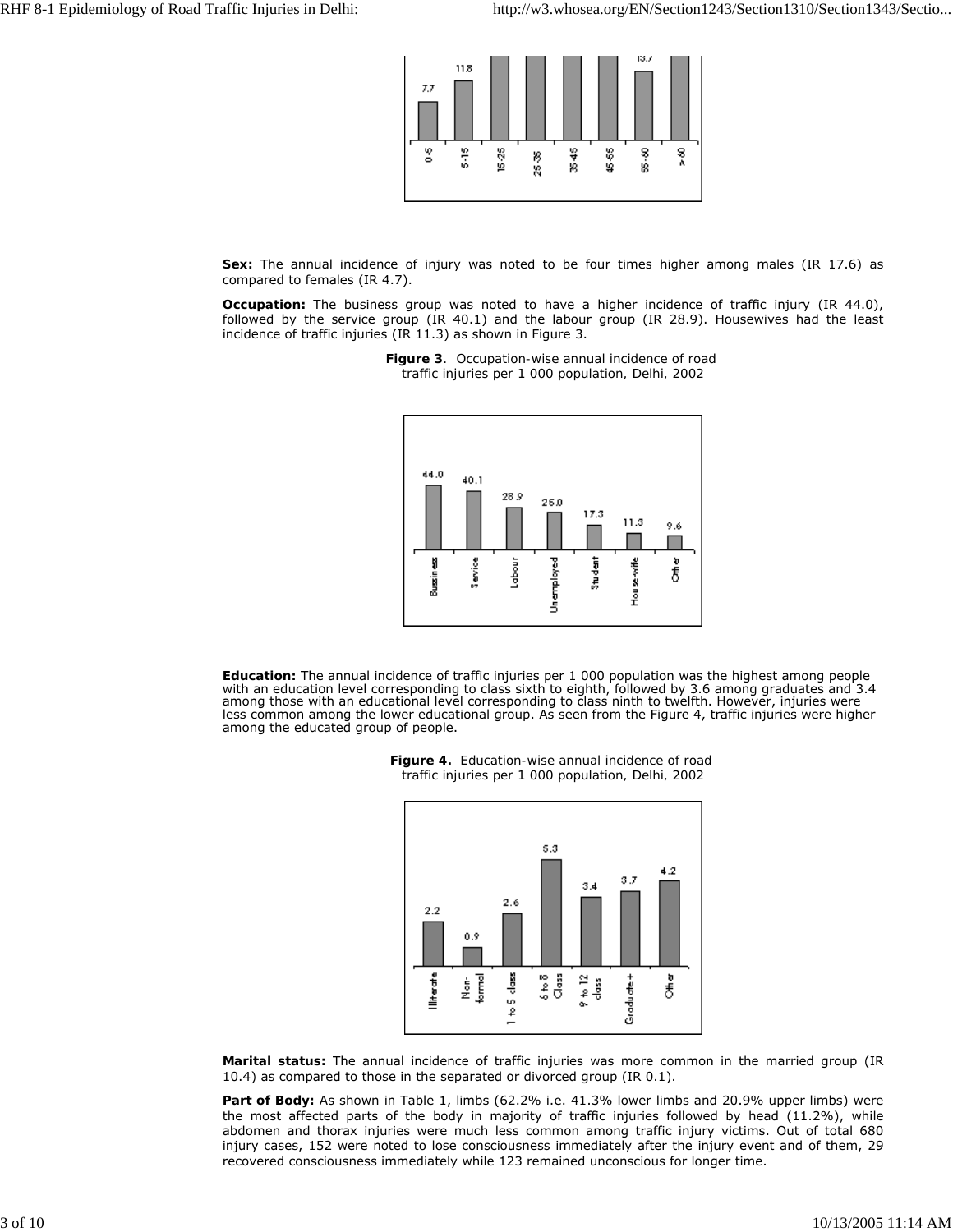

Sex: The annual incidence of injury was noted to be four times higher among males (IR 17.6) as compared to females (IR 4.7).

*Occupation:* The business group was noted to have a higher incidence of traffic injury (IR 44.0), followed by the service group (IR 40.1) and the labour group (IR 28.9). Housewives had the least incidence of traffic injuries (IR 11.3) as shown in Figure 3.



**Figure 3***. Occupation-wise annual incidence of road traffic injuries per 1 000 population, Delhi, 2002*

*Education:* The annual incidence of traffic injuries per 1 000 population was the highest among people with an education level corresponding to class sixth to eighth, followed by 3.6 among graduates and 3.4 among those with an educational level corresponding to class ninth to twelfth. However, injuries were less common among the lower educational group. As seen from the Figure 4, traffic injuries were higher among the educated group of people.



**Figure 4.** *Education-wise annual incidence of road traffic injuries per 1 000 population, Delhi, 2002*

**Marital status:** The annual incidence of traffic injuries was more common in the married group (IR 10.4) as compared to those in the separated or divorced group (IR 0.1).

**Part of Body:** As shown in Table 1, limbs (62.2% i.e. 41.3% lower limbs and 20.9% upper limbs) were the most affected parts of the body in majority of traffic injuries followed by head (11.2%), while abdomen and thorax injuries were much less common among traffic injury victims. Out of total 680 injury cases, 152 were noted to lose consciousness immediately after the injury event and of them, 29 recovered consciousness immediately while 123 remained unconscious for longer time.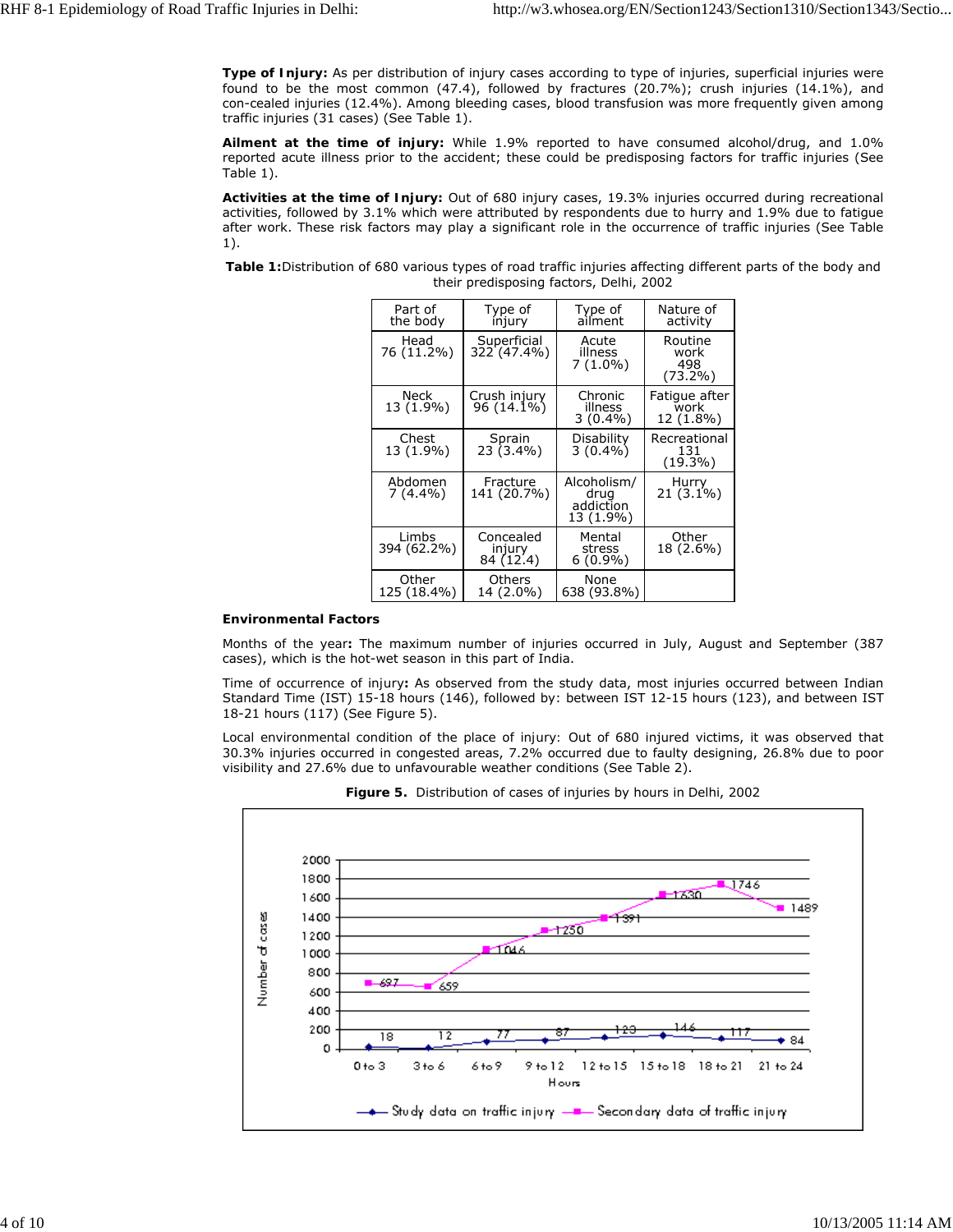**Type of Injury:** As per distribution of injury cases according to type of injuries, superficial injuries were found to be the most common (47.4), followed by fractures (20.7%); crush injuries (14.1%), and con-cealed injuries (12.4%). Among bleeding cases, blood transfusion was more frequently given among traffic injuries (31 cases) (See Table 1).

**Ailment at the time of injury:** While 1.9% reported to have consumed alcohol/drug, and 1.0% reported acute illness prior to the accident; these could be predisposing factors for traffic injuries (See Table 1).

**Activities at the time of Injury:** Out of 680 injury cases, 19.3% injuries occurred during recreational activities, followed by 3.1% which were attributed by respondents due to hurry and 1.9% due to fatigue after work. These risk factors may play a significant role in the occurrence of traffic injuries (See Table 1).

*Table 1:*Distribution of 680 various types of road traffic injuries affecting different parts of the body and their predisposing factors, Delhi, 2002

| Part of<br>the body   | Type of<br>injury                | Type of<br>ailment                            | Nature of<br>activity                |
|-----------------------|----------------------------------|-----------------------------------------------|--------------------------------------|
| Head<br>76 (11.2%)    | Superficial<br>322 (47.4%)       | Acute<br>illness<br>$7(1.0\%)$                | Routine<br>work<br>498<br>$(73.2\%)$ |
| Neck<br>13 (1.9%)     | Crush injury<br>96 (14.1%)       | Chronic<br>illness<br>$3(0.4\%)$              | Fatique after<br>work<br>12 (1.8%)   |
| Chest<br>13 (1.9%)    | Sprain<br>$23(3.4\%)$            | Disability<br>$3(0.4\%)$                      | Recreational<br>131<br>(19.3%)       |
| Abdomen<br>$7(4.4\%)$ | Fracture<br>141 (20.7%)          | Alcoholism/<br>drug<br>addiction<br>13 (1.9%) | Hurry<br>$21(3.1\%)$                 |
| Limbs<br>394 (62.2%)  | Concealed<br>injury<br>84 (12.4) | Mental<br>stress<br>$6(0.9\%)$                | Other<br>18 (2.6%)                   |
| Other<br>125 (18.4%)  | Others<br>14 (2.0%)              | None<br>638 (93.8%)                           |                                      |

#### **Environmental Factors**

*Months of the year:* The maximum number of injuries occurred in July, August and September (387 cases), which is the hot-wet season in this part of India.

*Time of occurrence of injury:* As observed from the study data, most injuries occurred between Indian Standard Time (IST) 15-18 hours (146), followed by: between IST 12-15 hours (123), and between IST 18-21 hours (117) (See Figure 5).

*Local environmental condition of the place of injury:* Out of 680 injured victims, it was observed that 30.3% injuries occurred in congested areas, 7.2% occurred due to faulty designing, 26.8% due to poor visibility and 27.6% due to unfavourable weather conditions (See Table 2).



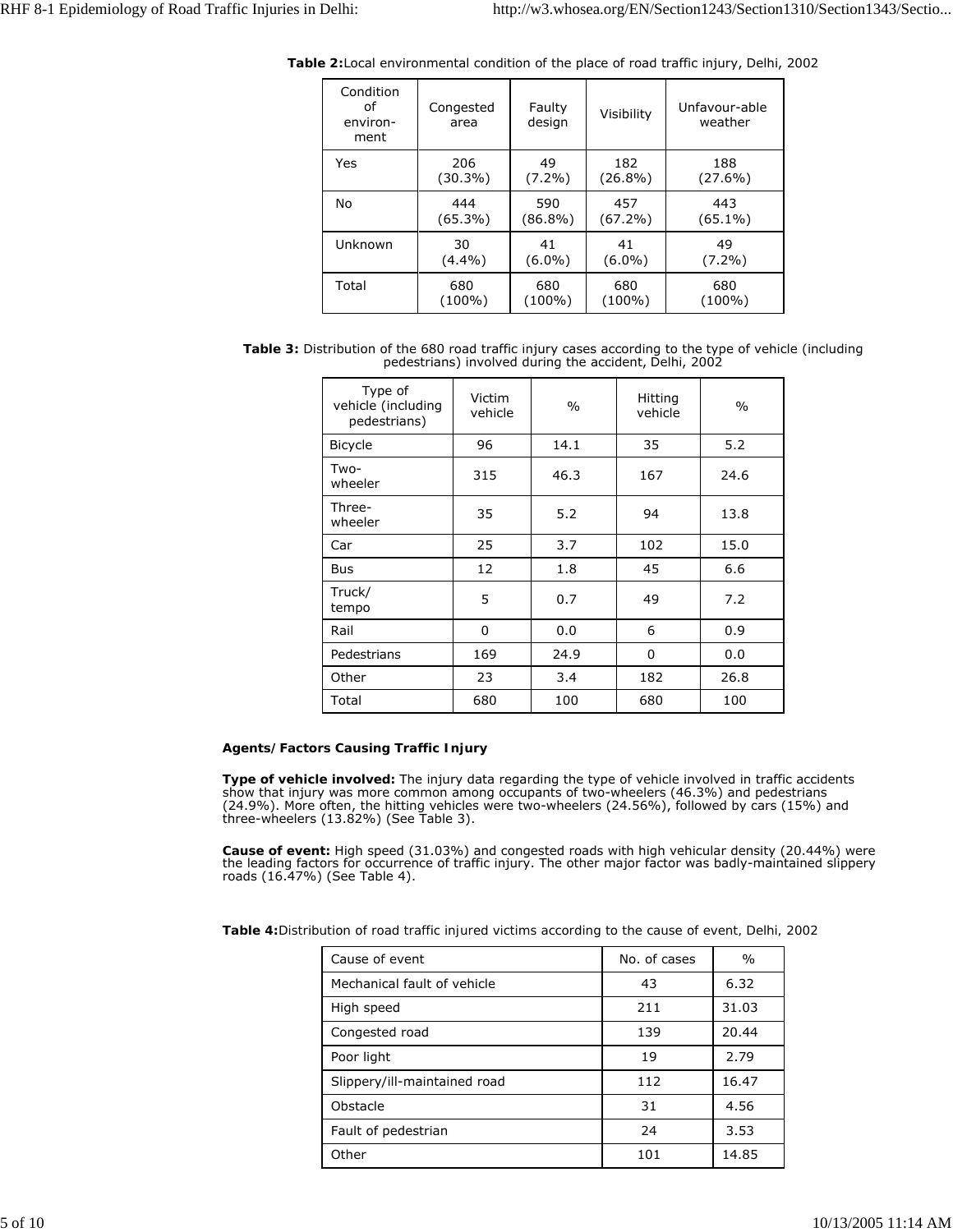| Condition<br>of<br>environ-<br>ment | Congested<br>area | Faulty<br>design | Visibility | Unfavour-able<br>weather |
|-------------------------------------|-------------------|------------------|------------|--------------------------|
| Yes                                 | 206               | 49               | 182        | 188                      |
|                                     | $(30.3\%)$        | $(7.2\%)$        | $(26.8\%)$ | $(27.6\%)$               |
| No                                  | 444               | 590              | 457        | 443                      |
|                                     | $(65.3\%)$        | $(86.8\%)$       | $(67.2\%)$ | $(65.1\%)$               |
| Unknown                             | 30                | 41               | 41         | 49                       |
|                                     | $(4.4\%)$         | $(6.0\%)$        | $(6.0\%)$  | $(7.2\%)$                |
| Total                               | 680               | 680              | 680        | 680                      |
|                                     | (100%)            | $(100\%)$        | $(100\%)$  | $(100\%)$                |

*Table 2:*Local environmental condition of the place of road traffic injury, Delhi, 2002

**Table 3:** Distribution of the 680 road traffic injury cases according to the type of vehicle (including pedestrians) involved during the accident, Delhi, 2002

| Type of<br>vehicle (including<br>pedestrians) | Victim<br>vehicle | $\frac{0}{0}$ | Hitting<br>vehicle | $\frac{0}{0}$ |
|-----------------------------------------------|-------------------|---------------|--------------------|---------------|
| <b>Bicycle</b>                                | 96                | 14.1          | 35                 | 5.2           |
| Two-<br>wheeler                               | 315               | 46.3          | 167                | 24.6          |
| Three-<br>wheeler                             | 35                | 5.2           | 94                 | 13.8          |
| Car                                           | 25                | 3.7           | 102                | 15.0          |
| Bus                                           | 12                | 1.8           | 45                 | 6.6           |
| Truck/<br>tempo                               | 5                 | 0.7           | 49                 | 7.2           |
| Rail                                          | 0                 | 0.0           | 6                  | 0.9           |
| Pedestrians                                   | 169               | 24.9          | 0                  | 0.0           |
| Other                                         | 23                | 3.4           | 182                | 26.8          |
| Total                                         | 680               | 100           | 680                | 100           |

## **Agents/Factors Causing Traffic Injury**

*Type of vehicle involved:* The injury data regarding the type of vehicle involved in traffic accidents show that injury was more common among occupants of two-wheelers (46.3%) and pedestrians (24.9%). More often, the hitting vehicles were two-wheelers (24.56%), followed by cars (15%) and three-wheelers (13.82%) (See Table 3).

*Cause of event:* High speed (31.03%) and congested roads with high vehicular density (20.44%) were the leading factors for occurrence of traffic injury. The other major factor was badly-maintained slippery roads (16.47%) (See Table 4).

*Table 4:Distribution of road traffic injured victims according to the cause of event, Delhi, 2002*

| Cause of event               | No. of cases | $\%$  |
|------------------------------|--------------|-------|
| Mechanical fault of vehicle  | 43           | 6.32  |
| High speed                   | 211          | 31.03 |
| Congested road               | 139          | 20.44 |
| Poor light                   | 19           | 2.79  |
| Slippery/ill-maintained road | 112          | 16.47 |
| Obstacle                     | 31           | 4.56  |
| Fault of pedestrian          | 24           | 3.53  |
| Other                        | 101          | 14.85 |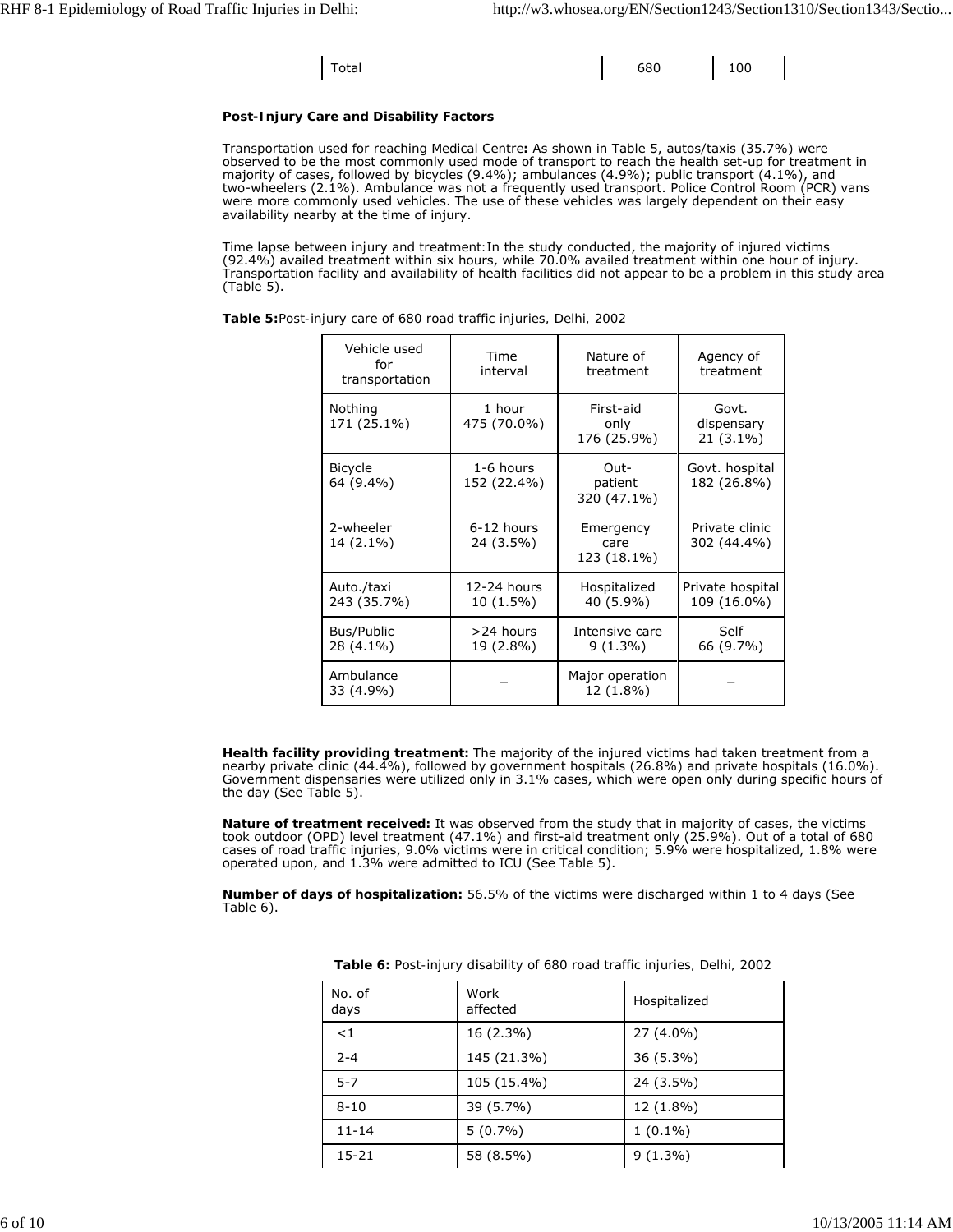| ັ <sub>າtal</sub> | 68C | 100 |  |
|-------------------|-----|-----|--|
|-------------------|-----|-----|--|

# **Post-Injury Care and Disability Factors**

*Transportation used for reaching Medical Centre:* As shown in Table 5, autos/taxis (35.7%) were observed to be the most commonly used mode of transport to reach the health set-up for treatment in majority of cases, followed by bicycles (9.4%); ambulances (4.9%); public transport (4.1%), and two-wheelers (2.1%). Ambulance was not a frequently used transport. Police Control Room (PCR) vans were more commonly used vehicles. The use of these vehicles was largely dependent on their easy availability nearby at the time of injury.

*Time lapse between injury and treatment:*In the study conducted, the majority of injured victims (92.4%) availed treatment within six hours, while 70.0% availed treatment within one hour of injury. Transportation facility and availability of health facilities did not appear to be a problem in this study area (Table 5).

| Vehicle used<br>for<br>transportation | Time<br>interval         | Nature of<br>treatment           | Agency of<br>treatment           |
|---------------------------------------|--------------------------|----------------------------------|----------------------------------|
| Nothing<br>171 (25.1%)                | 1 hour<br>475 (70.0%)    | First-aid<br>only<br>176 (25.9%) | Govt.<br>dispensary<br>21 (3.1%) |
| <b>Bicycle</b><br>64 (9.4%)           | 1-6 hours<br>152 (22.4%) | Out-<br>patient<br>320 (47.1%)   | Govt. hospital<br>182 (26.8%)    |
| 2-wheeler<br>14 (2.1%)                | 6-12 hours<br>24 (3.5%)  | Emergency<br>care<br>123 (18.1%) | Private clinic<br>302 (44.4%)    |
| Auto./taxi<br>243 (35.7%)             | 12-24 hours<br>10 (1.5%) | Hospitalized<br>40 (5.9%)        | Private hospital<br>109 (16.0%)  |
| Bus/Public<br>28 (4.1%)               | >24 hours<br>19 (2.8%)   | Intensive care<br>$9(1.3\%)$     | Self<br>66 (9.7%)                |
| Ambulance<br>33 (4.9%)                |                          | Major operation<br>12 (1.8%)     |                                  |

*Table 5:Post-injury care of 680 road traffic injuries, Delhi, 2002*

*Health facility providing treatment:* The majority of the injured victims had taken treatment from a nearby private clinic (44.4%), followed by government hospitals (26.8%) and private hospitals (16.0%). Government dispensaries were utilized only in 3.1% cases, which were open only during specific hours of the day (See Table 5).

*Nature of treatment received:* It was observed from the study that in majority of cases, the victims took outdoor (OPD) level treatment (47.1%) and first-aid treatment only (25.9%). Out of a total of 680 cases of road traffic injuries, 9.0% victims were in critical condition; 5.9% were hospitalized, 1.8% were operated upon, and 1.3% were admitted to ICU (See Table 5).

*Number of days of hospitalization:* 56.5% of the victims were discharged within 1 to 4 days (See Table 6).

| No. of<br>days | Work<br>affected | Hospitalized |
|----------------|------------------|--------------|
| < 1            | 16 (2.3%)        | 27 (4.0%)    |
| $2 - 4$        | 145 (21.3%)      | 36 (5.3%)    |
| $5 - 7$        | 105 (15.4%)      | 24 (3.5%)    |
| $8 - 10$       | 39 (5.7%)        | 12 (1.8%)    |
| $11 - 14$      | $5(0.7\%)$       | $1(0.1\%)$   |
| 15-21          | 58 (8.5%)        | $9(1.3\%)$   |

*Table 6: Post-injury disability of 680 road traffic injuries, Delhi, 2002*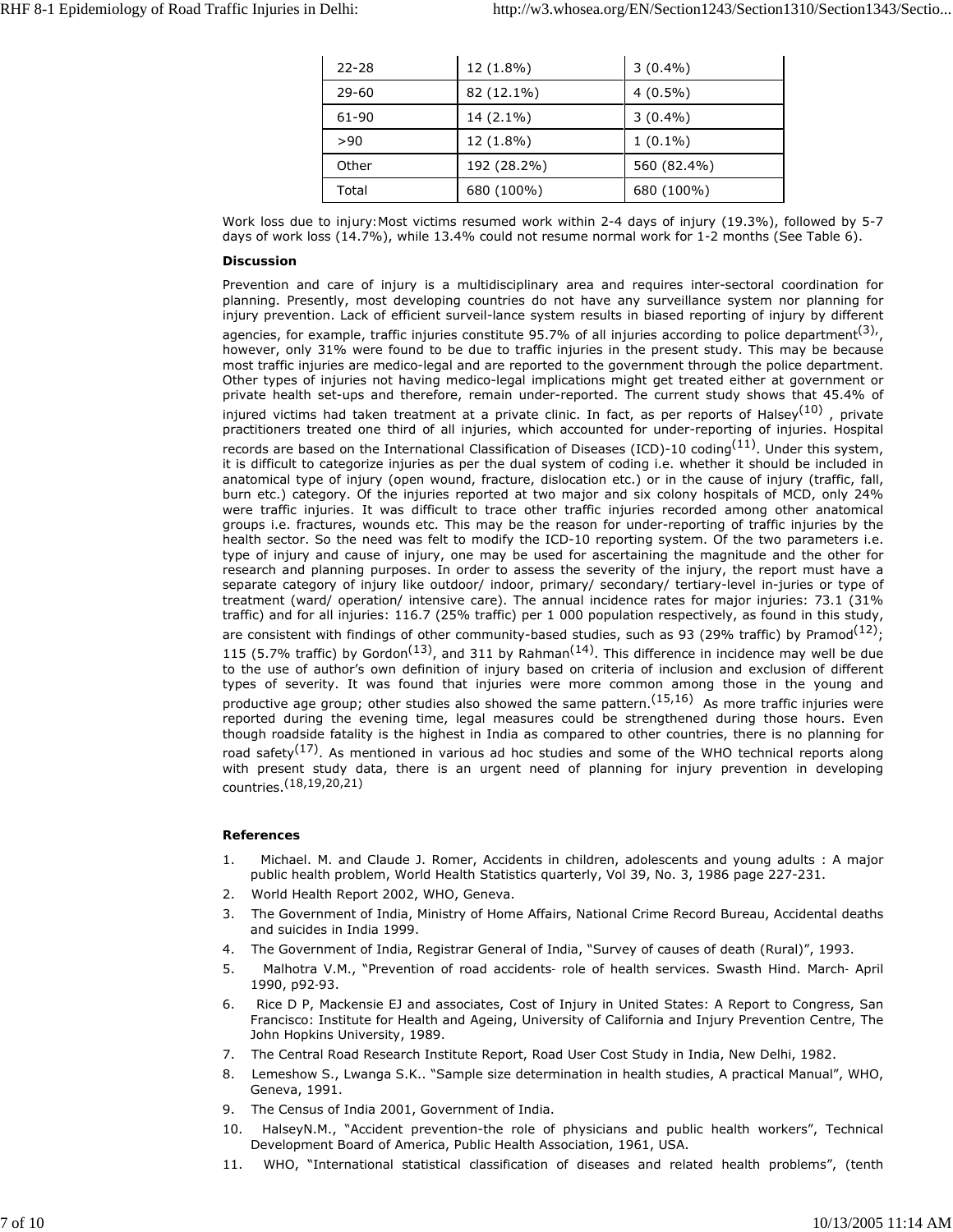| $22 - 28$ | 12 (1.8%)   | $3(0.4\%)$  |
|-----------|-------------|-------------|
| $29 - 60$ | 82 (12.1%)  | $4(0.5\%)$  |
| 61-90     | 14 (2.1%)   | $3(0.4\%)$  |
| >90       | 12 (1.8%)   | $1(0.1\%)$  |
| Other     | 192 (28.2%) | 560 (82.4%) |
| Total     | 680 (100%)  | 680 (100%)  |

*Work loss due to injury:*Most victims resumed work within 2-4 days of injury (19.3%), followed by 5-7 days of work loss (14.7%), while 13.4% could not resume normal work for 1-2 months (See Table 6).

#### **Discussion**

Prevention and care of injury is a multidisciplinary area and requires inter-sectoral coordination for planning. Presently, most developing countries do not have any surveillance system nor planning for injury prevention. Lack of efficient surveil-lance system results in biased reporting of injury by different agencies, for example, traffic injuries constitute 95.7% of all injuries according to police department<sup>(3),</sup>, however, only 31% were found to be due to traffic injuries in the present study. This may be because most traffic injuries are medico-legal and are reported to the government through the police department. Other types of injuries not having medico-legal implications might get treated either at government or private health set-ups and therefore, remain under-reported. The current study shows that 45.4% of injured victims had taken treatment at a private clinic. In fact, as per reports of Halsey<sup>(10)</sup>, private practitioners treated one third of all injuries, which accounted for under-reporting of injuries. Hospital records are based on the International Classification of Diseases (ICD)-10 coding<sup>(11)</sup>. Under this system, it is difficult to categorize injuries as per the dual system of coding i.e. whether it should be included in anatomical type of injury (open wound, fracture, dislocation etc.) or in the cause of injury (traffic, fall, burn etc.) category. Of the injuries reported at two major and six colony hospitals of MCD, only 24% were traffic injuries. It was difficult to trace other traffic injuries recorded among other anatomical groups i.e. fractures, wounds etc. This may be the reason for under-reporting of traffic injuries by the health sector. So the need was felt to modify the ICD-10 reporting system. Of the two parameters i.e. type of injury and cause of injury, one may be used for ascertaining the magnitude and the other for research and planning purposes. In order to assess the severity of the injury, the report must have a separate category of injury like outdoor/ indoor, primary/ secondary/ tertiary-level in-juries or type of treatment (ward/ operation/ intensive care). The annual incidence rates for major injuries: 73.1 (31% traffic) and for all injuries: 116.7 (25% traffic) per 1 000 population respectively, as found in this study, are consistent with findings of other community-based studies, such as 93 (29% traffic) by Pramod<sup>(12)</sup>; 115 (5.7% traffic) by Gordon<sup>(13)</sup>, and 311 by Rahman<sup>(14)</sup>. This difference in incidence may well be due to the use of author's own definition of injury based on criteria of inclusion and exclusion of different types of severity. It was found that injuries were more common among those in the young and productive age group; other studies also showed the same pattern.<sup>(15,16)</sup> As more traffic injuries were

though roadside fatality is the highest in India as compared to other countries, there is no planning for road safety<sup>(17)</sup>. As mentioned in various ad hoc studies and some of the WHO technical reports along with present study data, there is an urgent need of planning for injury prevention in developing countries.(18,19,20,21)

reported during the evening time, legal measures could be strengthened during those hours. Even

# **References**

- 1. Michael. M. and Claude J. Romer, Accidents in children, adolescents and young adults : A major public health problem, World Health Statistics quarterly, Vol 39, No. 3, 1986 page 227-231.
- 2. World Health Report 2002, WHO, Geneva.
- 3. The Government of India, Ministry of Home Affairs, National Crime Record Bureau, Accidental deaths and suicides in India 1999.
- 4. The Government of India, Registrar General of India, "Survey of causes of death (Rural)", 1993.
- 5. Malhotra V.M., "Prevention of road accidents‑ role of health services. Swasth Hind. March‑ April 1990, p92‑93.
- 6. Rice D P, Mackensie EJ and associates, Cost of Injury in United States: A Report to Congress, San Francisco: Institute for Health and Ageing, University of California and Injury Prevention Centre, The John Hopkins University, 1989.
- 7. The Central Road Research Institute Report, Road User Cost Study in India, New Delhi, 1982.
- 8. Lemeshow S., Lwanga S.K.. "Sample size determination in health studies, A practical Manual", WHO, Geneva, 1991.
- 9. The Census of India 2001, Government of India.
- 10. HalseyN.M., "Accident prevention-the role of physicians and public health workers", Technical Development Board of America, Public Health Association, 1961, USA.
- 11. WHO, "International statistical classification of diseases and related health problems", (tenth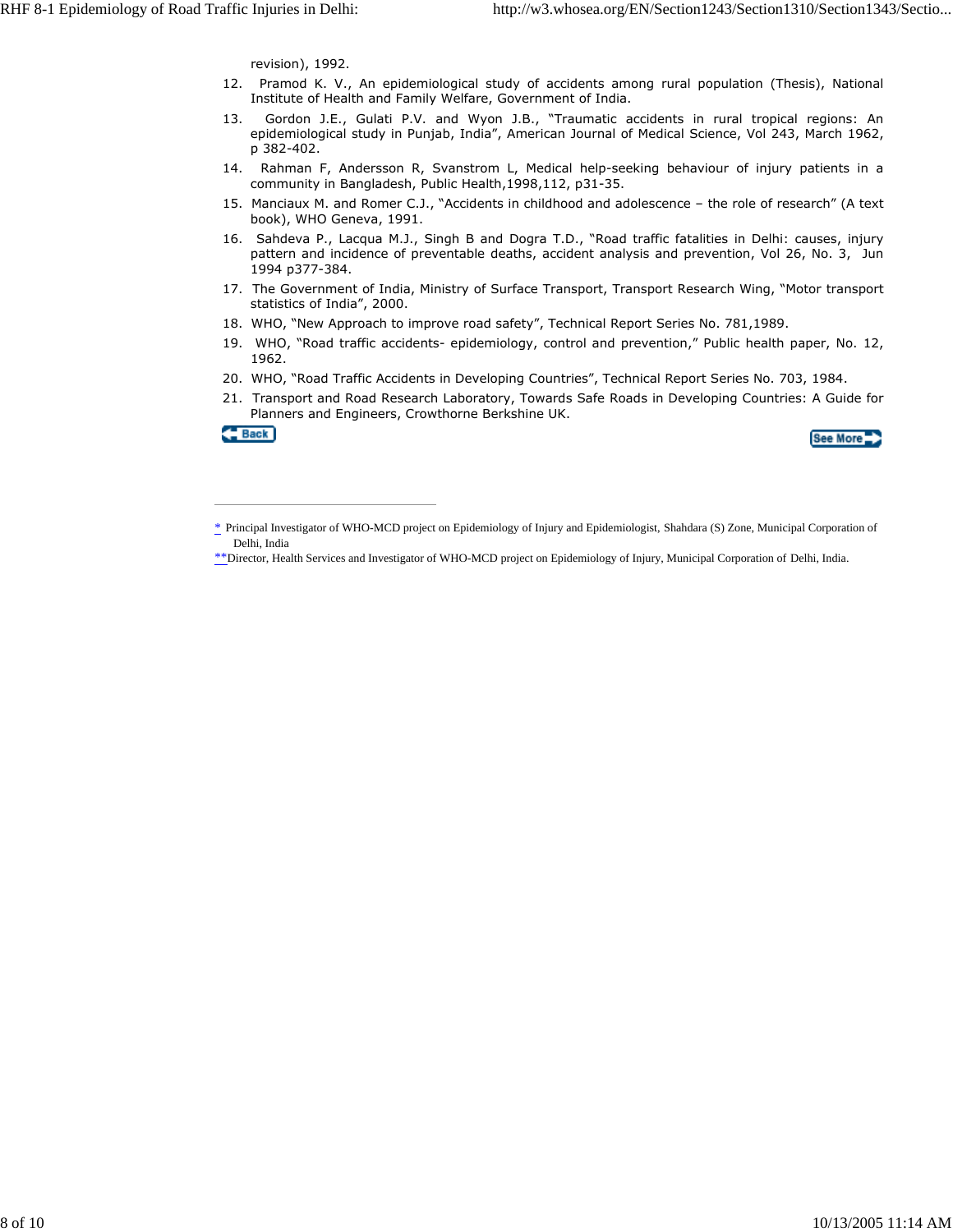revision), 1992.

- 12. Pramod K. V., An epidemiological study of accidents among rural population (Thesis), National Institute of Health and Family Welfare, Government of India.
- 13. Gordon J.E., Gulati P.V. and Wyon J.B., "Traumatic accidents in rural tropical regions: An epidemiological study in Punjab, India", American Journal of Medical Science, Vol 243, March 1962, p 382-402.
- 14. Rahman F, Andersson R, Svanstrom L, Medical help-seeking behaviour of injury patients in a community in Bangladesh, Public Health,1998,112, p31-35.
- 15. Manciaux M. and Romer C.J., "Accidents in childhood and adolescence the role of research" (A text book), WHO Geneva, 1991.
- 16. Sahdeva P., Lacqua M.J., Singh B and Dogra T.D., "Road traffic fatalities in Delhi: causes, injury pattern and incidence of preventable deaths, accident analysis and prevention, Vol 26, No. 3, Jun 1994 p377-384.
- 17. The Government of India, Ministry of Surface Transport, Transport Research Wing, "Motor transport statistics of India", 2000.
- 18. WHO, "New Approach to improve road safety", Technical Report Series No. 781,1989.
- 19. WHO, "Road traffic accidents- epidemiology, control and prevention," Public health paper, No. 12, 1962.
- 20. WHO, "Road Traffic Accidents in Developing Countries", Technical Report Series No. 703, 1984.
- 21. Transport and Road Research Laboratory, Towards Safe Roads in Developing Countries: A Guide for Planners and Engineers, Crowthorne Berkshine UK.

Back



<sup>\*</sup> Principal Investigator of WHO-MCD project on Epidemiology of Injury and Epidemiologist, Shahdara (S) Zone, Municipal Corporation of Delhi, India

<sup>\*\*</sup>Director, Health Services and Investigator of WHO-MCD project on Epidemiology of Injury, Municipal Corporation of Delhi, India.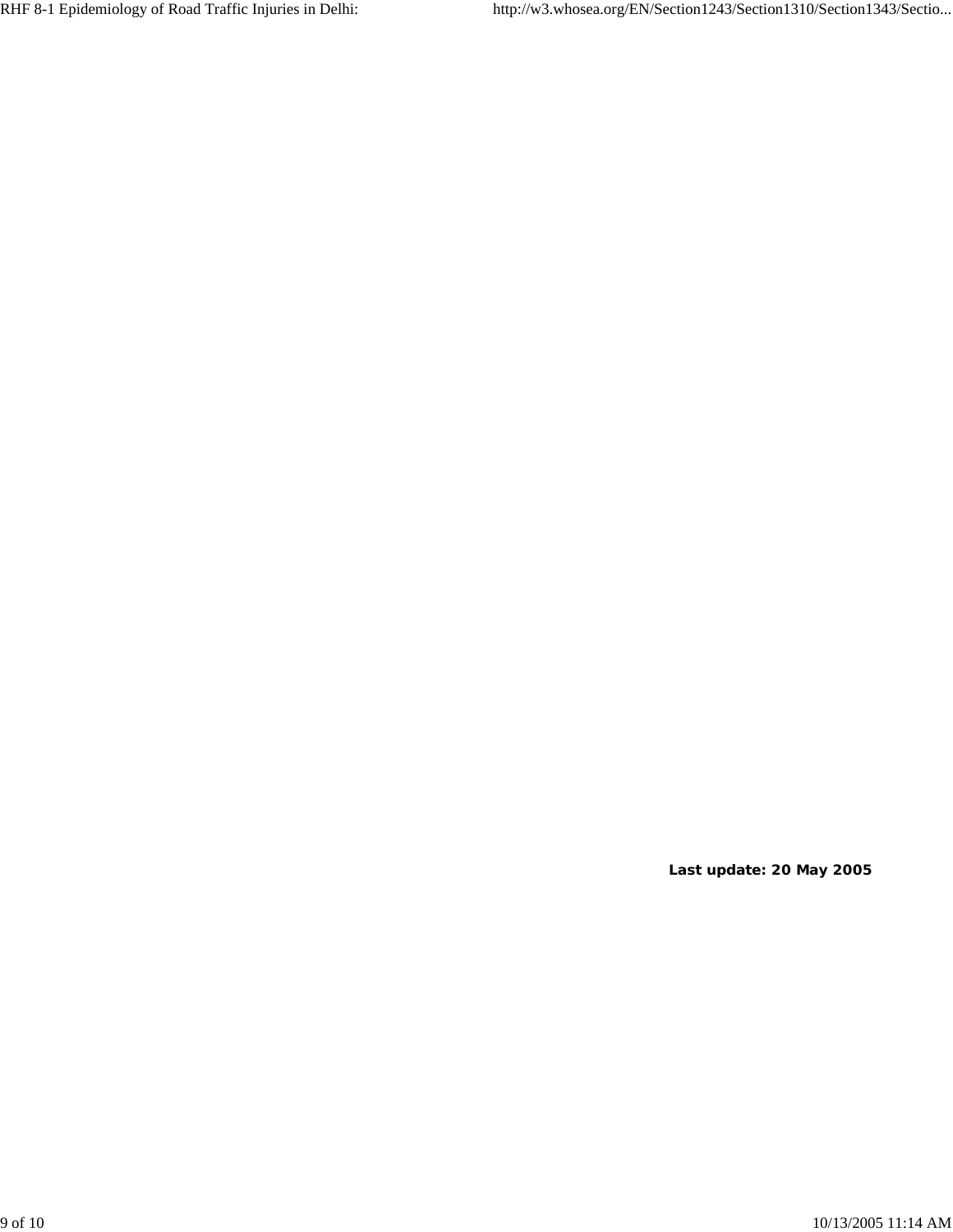**Last update: 20 May 2005**